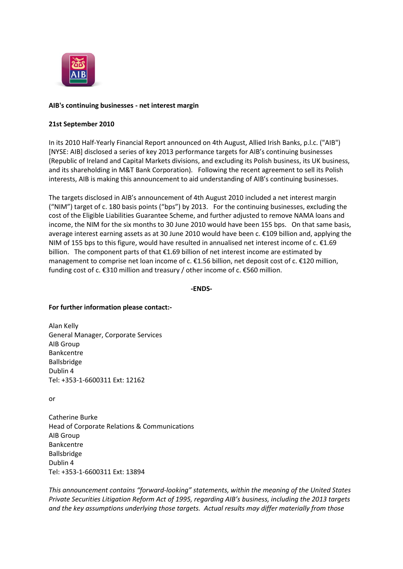

## **AIB's continuing businesses - net interest margin**

## **21st September 2010**

In its 2010 Half-Yearly Financial Report announced on 4th August, Allied Irish Banks, p.l.c. ("AIB") [NYSE: AIB] disclosed a series of key 2013 performance targets for AIB's continuing businesses (Republic of Ireland and Capital Markets divisions, and excluding its Polish business, its UK business, and its shareholding in M&T Bank Corporation). Following the recent agreement to sell its Polish interests, AIB is making this announcement to aid understanding of AIB's continuing businesses.

The targets disclosed in AIB's announcement of 4th August 2010 included a net interest margin ("NIM") target of c. 180 basis points ("bps") by 2013. For the continuing businesses, excluding the cost of the Eligible Liabilities Guarantee Scheme, and further adjusted to remove NAMA loans and income, the NIM for the six months to 30 June 2010 would have been 155 bps. On that same basis, average interest earning assets as at 30 June 2010 would have been c. €109 billion and, applying the NIM of 155 bps to this figure, would have resulted in annualised net interest income of c.  $\epsilon$ 1.69 billion. The component parts of that €1.69 billion of net interest income are estimated by management to comprise net loan income of c. €1.56 billion, net deposit cost of c. €120 million, funding cost of c. €310 million and treasury / other income of c. €560 million.

**-ENDS-**

## **For further information please contact:-**

Alan Kelly General Manager, Corporate Services AIB Group Bankcentre Ballsbridge Dublin 4 Tel: +353-1-6600311 Ext: 12162

or

Catherine Burke Head of Corporate Relations & Communications AIB Group Bankcentre Ballsbridge Dublin 4 Tel: +353-1-6600311 Ext: 13894

*This announcement contains "forward-looking" statements, within the meaning of the United States Private Securities Litigation Reform Act of 1995, regarding AIB's business, including the 2013 targets and the key assumptions underlying those targets. Actual results may differ materially from those*